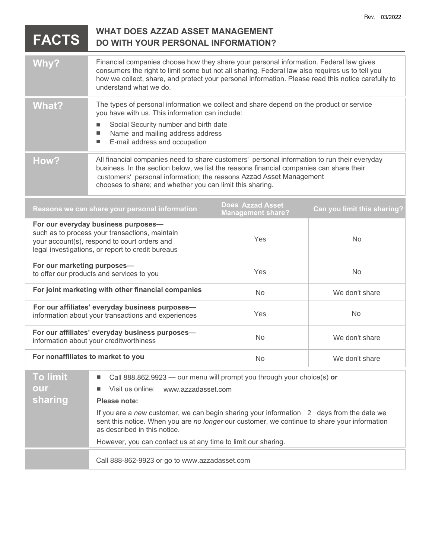|                                                                                                                                                                                            |                                                                                                                                                                                                                                                                                                                            |           | Rev. 03/2022   |  |
|--------------------------------------------------------------------------------------------------------------------------------------------------------------------------------------------|----------------------------------------------------------------------------------------------------------------------------------------------------------------------------------------------------------------------------------------------------------------------------------------------------------------------------|-----------|----------------|--|
| <b>FACTS</b>                                                                                                                                                                               | <b>WHAT DOES AZZAD ASSET MANAGEMENT</b><br><b>DO WITH YOUR PERSONAL INFORMATION?</b>                                                                                                                                                                                                                                       |           |                |  |
| Why?                                                                                                                                                                                       | Financial companies choose how they share your personal information. Federal law gives<br>consumers the right to limit some but not all sharing. Federal law also requires us to tell you<br>how we collect, share, and protect your personal information. Please read this notice carefully to<br>understand what we do.  |           |                |  |
| <b>What?</b>                                                                                                                                                                               | The types of personal information we collect and share depend on the product or service<br>you have with us. This information can include:<br>Social Security number and birth date<br>ш<br>Name and mailing address address<br>ш<br>E-mail address and occupation<br>ш                                                    |           |                |  |
| How?                                                                                                                                                                                       | All financial companies need to share customers' personal information to run their everyday<br>business. In the section below, we list the reasons financial companies can share their<br>customers' personal information; the reasons Azzad Asset Management<br>chooses to share; and whether you can limit this sharing. |           |                |  |
| <b>Does Azzad Asset</b><br>Reasons we can share your personal information<br>Can you limit this sharing?<br><b>Management share?</b>                                                       |                                                                                                                                                                                                                                                                                                                            |           |                |  |
| For our everyday business purposes-<br>such as to process your transactions, maintain<br>your account(s), respond to court orders and<br>legal investigations, or report to credit bureaus |                                                                                                                                                                                                                                                                                                                            | Yes       | <b>No</b>      |  |
| For our marketing purposes-<br>to offer our products and services to you                                                                                                                   |                                                                                                                                                                                                                                                                                                                            | Yes       | <b>No</b>      |  |
| For joint marketing with other financial companies                                                                                                                                         |                                                                                                                                                                                                                                                                                                                            | <b>No</b> | We don't share |  |
| For our affiliates' everyday business purposes-<br>information about your transactions and experiences                                                                                     |                                                                                                                                                                                                                                                                                                                            | Yes       | <b>No</b>      |  |
| For our affiliates' everyday business purposes-<br>information about your creditworthiness                                                                                                 |                                                                                                                                                                                                                                                                                                                            | No        | We don't share |  |
| For nonaffiliates to market to you                                                                                                                                                         |                                                                                                                                                                                                                                                                                                                            | No        | We don't share |  |
| <b>To limit</b><br>our<br>sharing                                                                                                                                                          | Call 888.862.9923 - our menu will prompt you through your choice(s) or<br>ш<br>Visit us online:<br>www.azzadasset.com<br>■<br>Please note:<br>If you are a new customer, we can begin sharing your information 2 days from the date we                                                                                     |           |                |  |

sent this notice. When you are *no longer* our customer, we continue to share your information as described in this notice.

However, you can contact us at any time to limit our sharing.

Call 888-862-9923 or go to www.azzadasset.com